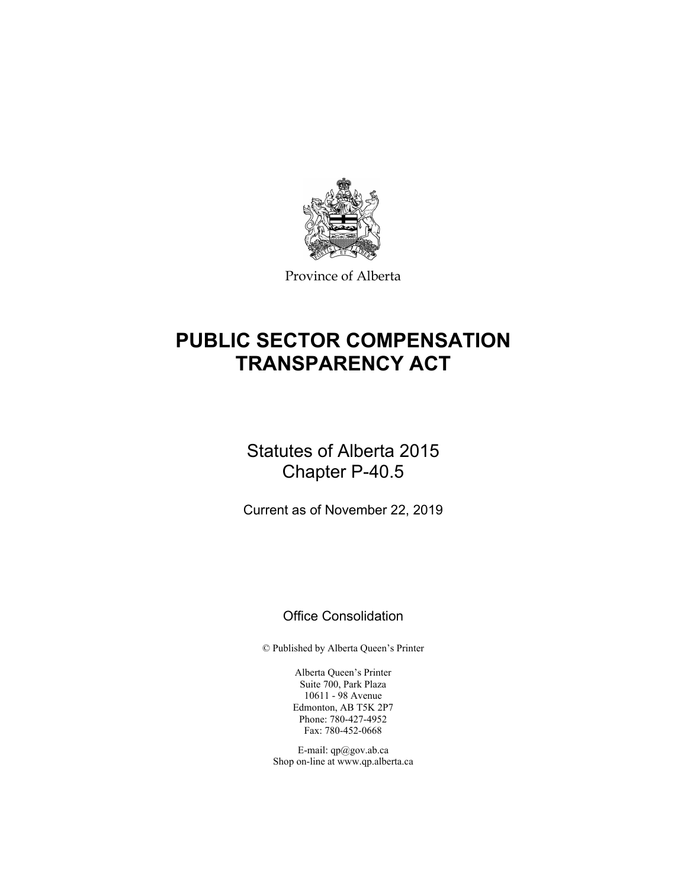

Province of Alberta

# **PUBLIC SECTOR COMPENSATION TRANSPARENCY ACT**

## Statutes of Alberta 2015 Chapter P-40.5

Current as of November 22, 2019

## Office Consolidation

© Published by Alberta Queen's Printer

Alberta Queen's Printer Suite 700, Park Plaza 10611 - 98 Avenue Edmonton, AB T5K 2P7 Phone: 780-427-4952 Fax: 780-452-0668

E-mail: qp@gov.ab.ca Shop on-line at www.qp.alberta.ca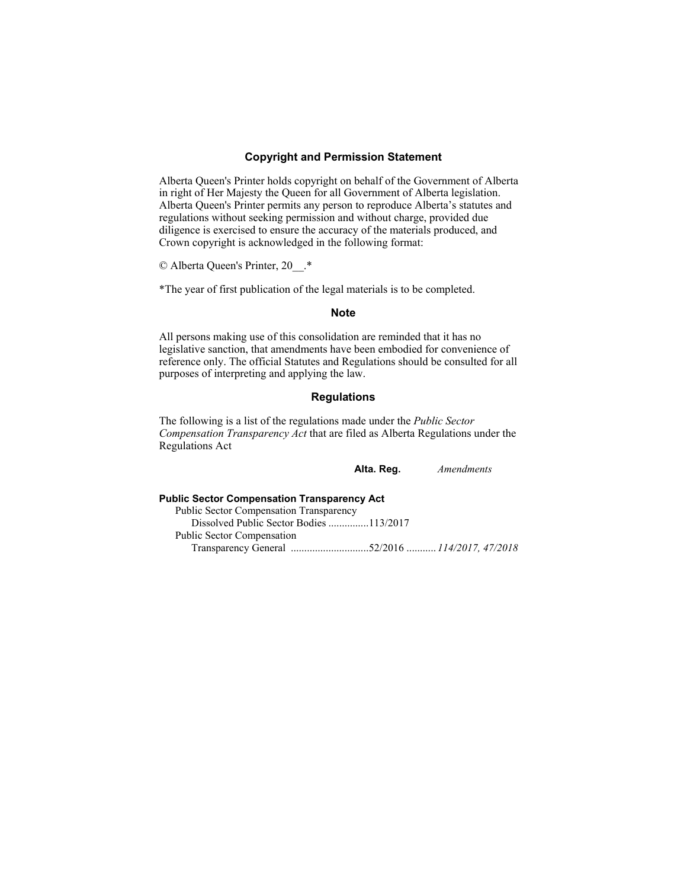#### **Copyright and Permission Statement**

Alberta Queen's Printer holds copyright on behalf of the Government of Alberta in right of Her Majesty the Queen for all Government of Alberta legislation. Alberta Queen's Printer permits any person to reproduce Alberta's statutes and regulations without seeking permission and without charge, provided due diligence is exercised to ensure the accuracy of the materials produced, and Crown copyright is acknowledged in the following format:

© Alberta Queen's Printer, 20\_\_.\*

\*The year of first publication of the legal materials is to be completed.

#### **Note**

All persons making use of this consolidation are reminded that it has no legislative sanction, that amendments have been embodied for convenience of reference only. The official Statutes and Regulations should be consulted for all purposes of interpreting and applying the law.

#### **Regulations**

The following is a list of the regulations made under the *Public Sector Compensation Transparency Act* that are filed as Alberta Regulations under the Regulations Act

|                                                    | Alta. Reg. | Amendments |
|----------------------------------------------------|------------|------------|
| <b>Public Sector Compensation Transparency Act</b> |            |            |
| Public Sector Compensation Transparency            |            |            |
| Dissolved Public Sector Bodies 113/2017            |            |            |
| Public Sector Compensation                         |            |            |
| Transparency General 52/2016  114/2017, 47/2018    |            |            |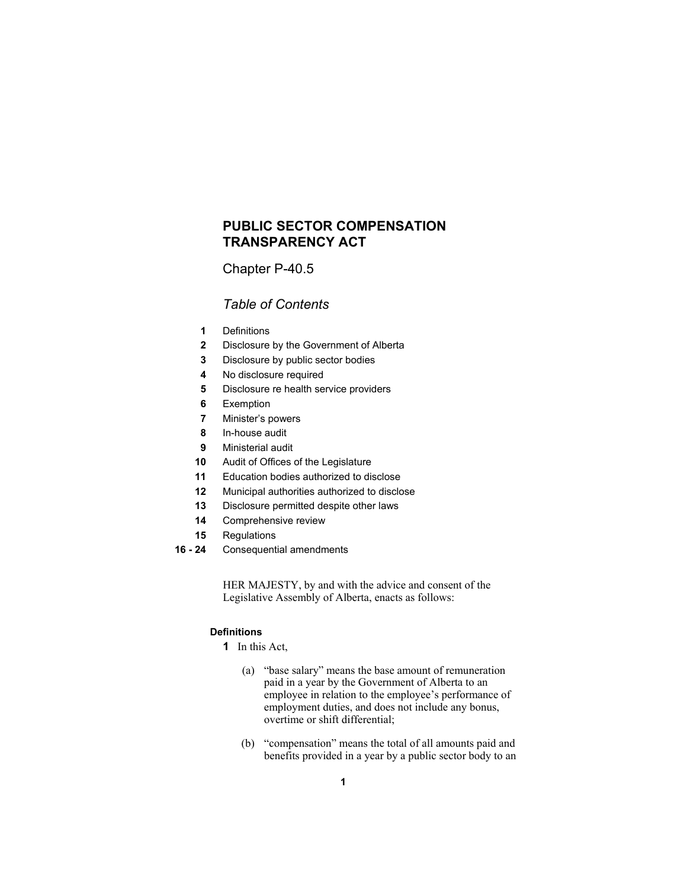## **PUBLIC SECTOR COMPENSATION TRANSPARENCY ACT**

Chapter P-40.5

### *Table of Contents*

- **1** Definitions
- **2** Disclosure by the Government of Alberta
- **3** Disclosure by public sector bodies
- **4** No disclosure required
- **5** Disclosure re health service providers
- **6** Exemption
- **7** Minister's powers
- **8** In-house audit
- **9** Ministerial audit
- **10** Audit of Offices of the Legislature
- **11** Education bodies authorized to disclose
- **12** Municipal authorities authorized to disclose
- **13** Disclosure permitted despite other laws
- **14** Comprehensive review
- **15** Regulations
- **16 24** Consequential amendments

HER MAJESTY, by and with the advice and consent of the Legislative Assembly of Alberta, enacts as follows:

#### **Definitions**

- **1** In this Act,
	- (a) "base salary" means the base amount of remuneration paid in a year by the Government of Alberta to an employee in relation to the employee's performance of employment duties, and does not include any bonus, overtime or shift differential;
	- (b) "compensation" means the total of all amounts paid and benefits provided in a year by a public sector body to an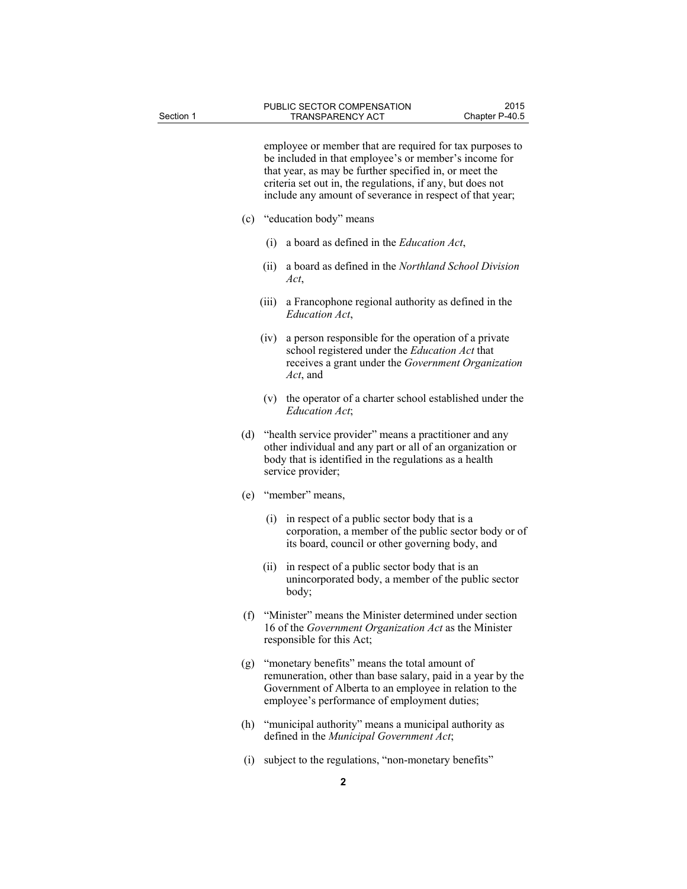employee or member that are required for tax purposes to be included in that employee's or member's income for that year, as may be further specified in, or meet the criteria set out in, the regulations, if any, but does not include any amount of severance in respect of that year;

- (c) "education body" means
	- (i) a board as defined in the *Education Act*,
	- (ii) a board as defined in the *Northland School Division Act*,
	- (iii) a Francophone regional authority as defined in the *Education Act*,
	- (iv) a person responsible for the operation of a private school registered under the *Education Act* that receives a grant under the *Government Organization Act*, and
	- (v) the operator of a charter school established under the *Education Act*;
- (d) "health service provider" means a practitioner and any other individual and any part or all of an organization or body that is identified in the regulations as a health service provider;
- (e) "member" means,
	- (i) in respect of a public sector body that is a corporation, a member of the public sector body or of its board, council or other governing body, and
	- (ii) in respect of a public sector body that is an unincorporated body, a member of the public sector body;
- (f) "Minister" means the Minister determined under section 16 of the *Government Organization Act* as the Minister responsible for this Act;
- (g) "monetary benefits" means the total amount of remuneration, other than base salary, paid in a year by the Government of Alberta to an employee in relation to the employee's performance of employment duties;
- (h) "municipal authority" means a municipal authority as defined in the *Municipal Government Act*;
- (i) subject to the regulations, "non-monetary benefits"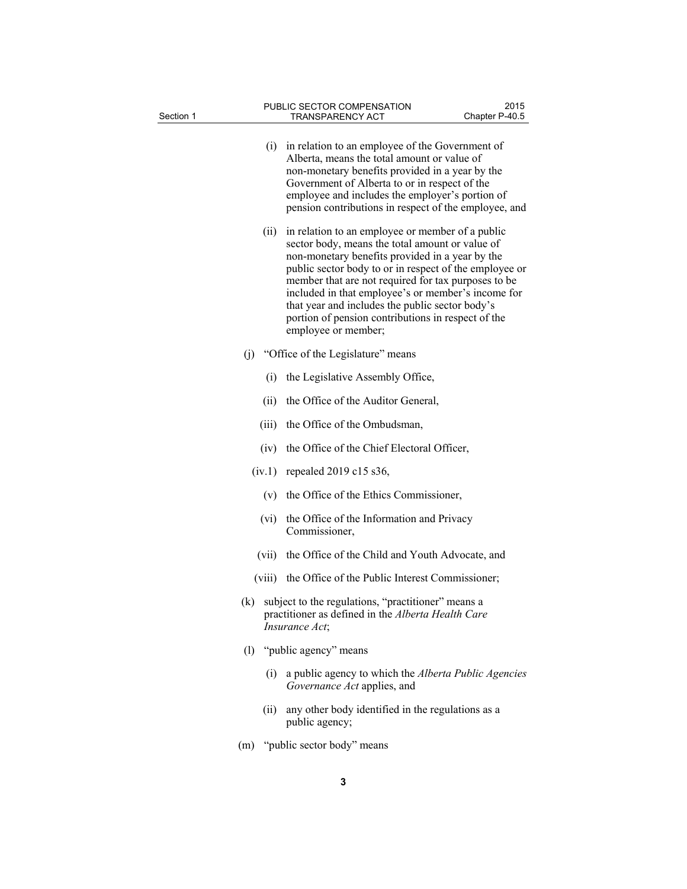| Section 1 |      | PUBLIC SECTOR COMPENSATION<br><b>TRANSPARENCY ACT</b>                                                                                                                                                                                                                                                                                                                                                                                                         | 2015<br>Chapter P-40.5 |
|-----------|------|---------------------------------------------------------------------------------------------------------------------------------------------------------------------------------------------------------------------------------------------------------------------------------------------------------------------------------------------------------------------------------------------------------------------------------------------------------------|------------------------|
|           | (i)  | in relation to an employee of the Government of<br>Alberta, means the total amount or value of<br>non-monetary benefits provided in a year by the<br>Government of Alberta to or in respect of the<br>employee and includes the employer's portion of<br>pension contributions in respect of the employee, and                                                                                                                                                |                        |
|           | (i)  | in relation to an employee or member of a public<br>sector body, means the total amount or value of<br>non-monetary benefits provided in a year by the<br>public sector body to or in respect of the employee or<br>member that are not required for tax purposes to be<br>included in that employee's or member's income for<br>that year and includes the public sector body's<br>portion of pension contributions in respect of the<br>employee or member; |                        |
|           |      | (j) "Office of the Legislature" means                                                                                                                                                                                                                                                                                                                                                                                                                         |                        |
|           | (i)  | the Legislative Assembly Office,                                                                                                                                                                                                                                                                                                                                                                                                                              |                        |
|           | (ii) | the Office of the Auditor General,                                                                                                                                                                                                                                                                                                                                                                                                                            |                        |
|           |      | (iii) the Office of the Ombudsman,                                                                                                                                                                                                                                                                                                                                                                                                                            |                        |
|           | (iv) | the Office of the Chief Electoral Officer,                                                                                                                                                                                                                                                                                                                                                                                                                    |                        |
|           |      | $(iv.1)$ repealed 2019 c15 s36,                                                                                                                                                                                                                                                                                                                                                                                                                               |                        |
|           |      | (v) the Office of the Ethics Commissioner,                                                                                                                                                                                                                                                                                                                                                                                                                    |                        |
|           |      | (vi) the Office of the Information and Privacy<br>Commissioner,                                                                                                                                                                                                                                                                                                                                                                                               |                        |
|           |      | (vii) the Office of the Child and Youth Advocate, and                                                                                                                                                                                                                                                                                                                                                                                                         |                        |
|           |      | (viii) the Office of the Public Interest Commissioner;                                                                                                                                                                                                                                                                                                                                                                                                        |                        |
|           | (k)  | subject to the regulations, "practitioner" means a<br>practitioner as defined in the Alberta Health Care<br><i>Insurance Act</i> ;                                                                                                                                                                                                                                                                                                                            |                        |
|           | (1)  | "public agency" means                                                                                                                                                                                                                                                                                                                                                                                                                                         |                        |
|           | (i)  | a public agency to which the Alberta Public Agencies<br>Governance Act applies, and                                                                                                                                                                                                                                                                                                                                                                           |                        |
|           | (ii) | any other body identified in the regulations as a<br>public agency;                                                                                                                                                                                                                                                                                                                                                                                           |                        |
|           |      | (m) "public sector body" means                                                                                                                                                                                                                                                                                                                                                                                                                                |                        |
|           |      |                                                                                                                                                                                                                                                                                                                                                                                                                                                               |                        |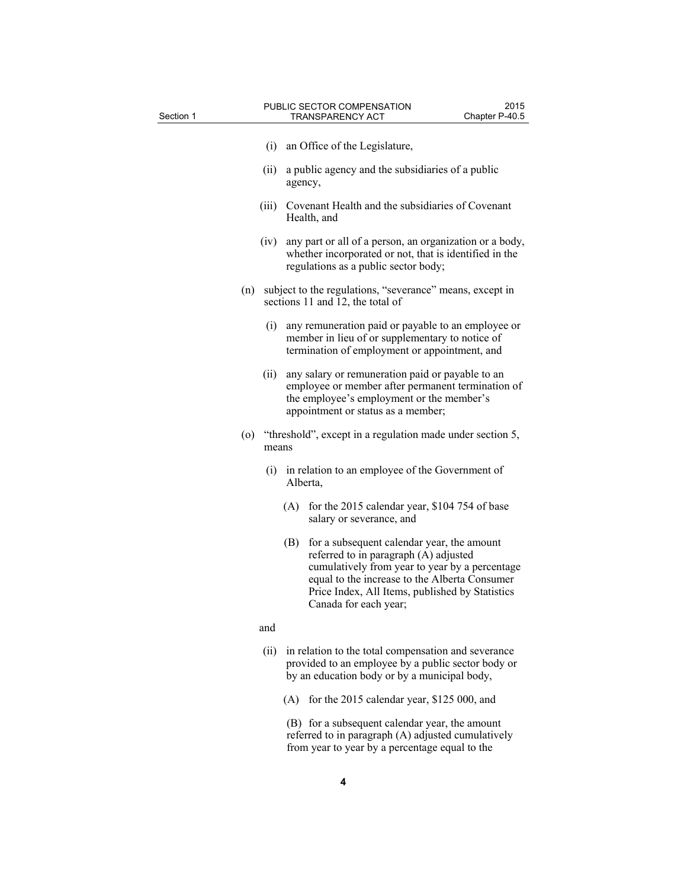| Section 1 |       | PUBLIC SECTOR COMPENSATION<br>2015<br>Chapter P-40.5<br><b>TRANSPARENCY ACT</b>                                                                                                                                                                                           |
|-----------|-------|---------------------------------------------------------------------------------------------------------------------------------------------------------------------------------------------------------------------------------------------------------------------------|
|           | (i)   | an Office of the Legislature,                                                                                                                                                                                                                                             |
|           | (ii)  | a public agency and the subsidiaries of a public<br>agency,                                                                                                                                                                                                               |
|           | (iii) | Covenant Health and the subsidiaries of Covenant<br>Health, and                                                                                                                                                                                                           |
|           | (iv)  | any part or all of a person, an organization or a body,<br>whether incorporated or not, that is identified in the<br>regulations as a public sector body;                                                                                                                 |
| (n)       |       | subject to the regulations, "severance" means, except in<br>sections 11 and 12, the total of                                                                                                                                                                              |
|           | (i)   | any remuneration paid or payable to an employee or<br>member in lieu of or supplementary to notice of<br>termination of employment or appointment, and                                                                                                                    |
|           | (ii)  | any salary or remuneration paid or payable to an<br>employee or member after permanent termination of<br>the employee's employment or the member's<br>appointment or status as a member;                                                                                  |
| (0)       | means | "threshold", except in a regulation made under section 5,                                                                                                                                                                                                                 |
|           | (i)   | in relation to an employee of the Government of<br>Alberta,                                                                                                                                                                                                               |
|           |       | for the 2015 calendar year, \$104 754 of base<br>(A)<br>salary or severance, and                                                                                                                                                                                          |
|           |       | for a subsequent calendar year, the amount<br>(B)<br>referred to in paragraph (A) adjusted<br>cumulatively from year to year by a percentage<br>equal to the increase to the Alberta Consumer<br>Price Index, All Items, published by Statistics<br>Canada for each year; |
|           | and   |                                                                                                                                                                                                                                                                           |
|           | (ii)  | in relation to the total compensation and severance<br>provided to an employee by a public sector body or<br>by an education body or by a municipal body,                                                                                                                 |
|           |       | for the 2015 calendar year, \$125 000, and<br>(A)                                                                                                                                                                                                                         |

 (B) for a subsequent calendar year, the amount referred to in paragraph (A) adjusted cumulatively from year to year by a percentage equal to the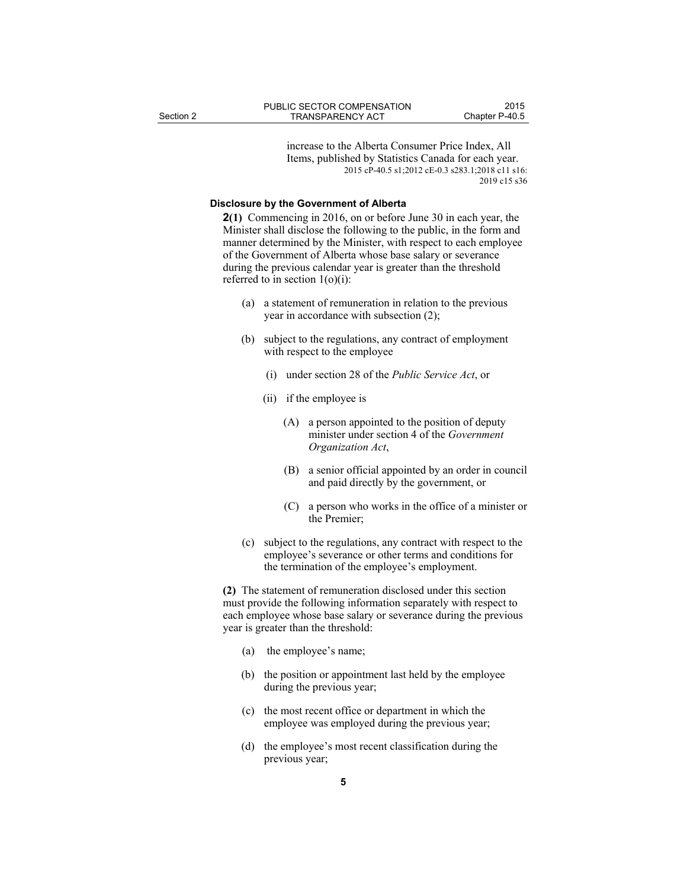increase to the Alberta Consumer Price Index, All Items, published by Statistics Canada for each year. 2015 cP-40.5 s1;2012 cE-0.3 s283.1;2018 c11 s16: 2019 c15 s36

#### **Disclosure by the Government of Alberta**

**2(1)** Commencing in 2016, on or before June 30 in each year, the Minister shall disclose the following to the public, in the form and manner determined by the Minister, with respect to each employee of the Government of Alberta whose base salary or severance during the previous calendar year is greater than the threshold referred to in section  $1(o)(i)$ :

- (a) a statement of remuneration in relation to the previous year in accordance with subsection (2);
- (b) subject to the regulations, any contract of employment with respect to the employee
	- (i) under section 28 of the *Public Service Act*, or
	- (ii) if the employee is
		- (A) a person appointed to the position of deputy minister under section 4 of the *Government Organization Act*,
		- (B) a senior official appointed by an order in council and paid directly by the government, or
		- (C) a person who works in the office of a minister or the Premier;
- (c) subject to the regulations, any contract with respect to the employee's severance or other terms and conditions for the termination of the employee's employment.

**(2)** The statement of remuneration disclosed under this section must provide the following information separately with respect to each employee whose base salary or severance during the previous year is greater than the threshold:

- (a) the employee's name;
- (b) the position or appointment last held by the employee during the previous year;
- (c) the most recent office or department in which the employee was employed during the previous year;
- (d) the employee's most recent classification during the previous year;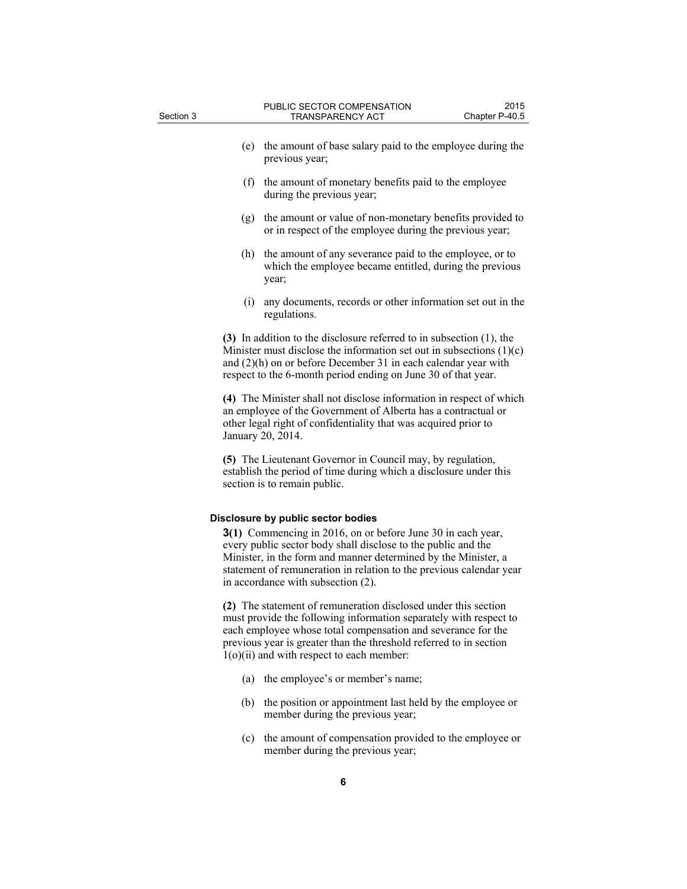- (e) the amount of base salary paid to the employee during the previous year;
- (f) the amount of monetary benefits paid to the employee during the previous year;
- (g) the amount or value of non-monetary benefits provided to or in respect of the employee during the previous year;
- (h) the amount of any severance paid to the employee, or to which the employee became entitled, during the previous year;
- (i) any documents, records or other information set out in the regulations.

**(3)** In addition to the disclosure referred to in subsection (1), the Minister must disclose the information set out in subsections  $(1)(c)$ and (2)(h) on or before December 31 in each calendar year with respect to the 6-month period ending on June 30 of that year.

**(4)** The Minister shall not disclose information in respect of which an employee of the Government of Alberta has a contractual or other legal right of confidentiality that was acquired prior to January 20, 2014.

**(5)** The Lieutenant Governor in Council may, by regulation, establish the period of time during which a disclosure under this section is to remain public.

#### **Disclosure by public sector bodies**

**3(1)** Commencing in 2016, on or before June 30 in each year, every public sector body shall disclose to the public and the Minister, in the form and manner determined by the Minister, a statement of remuneration in relation to the previous calendar year in accordance with subsection (2).

**(2)** The statement of remuneration disclosed under this section must provide the following information separately with respect to each employee whose total compensation and severance for the previous year is greater than the threshold referred to in section 1(o)(ii) and with respect to each member:

- (a) the employee's or member's name;
- (b) the position or appointment last held by the employee or member during the previous year;
- (c) the amount of compensation provided to the employee or member during the previous year;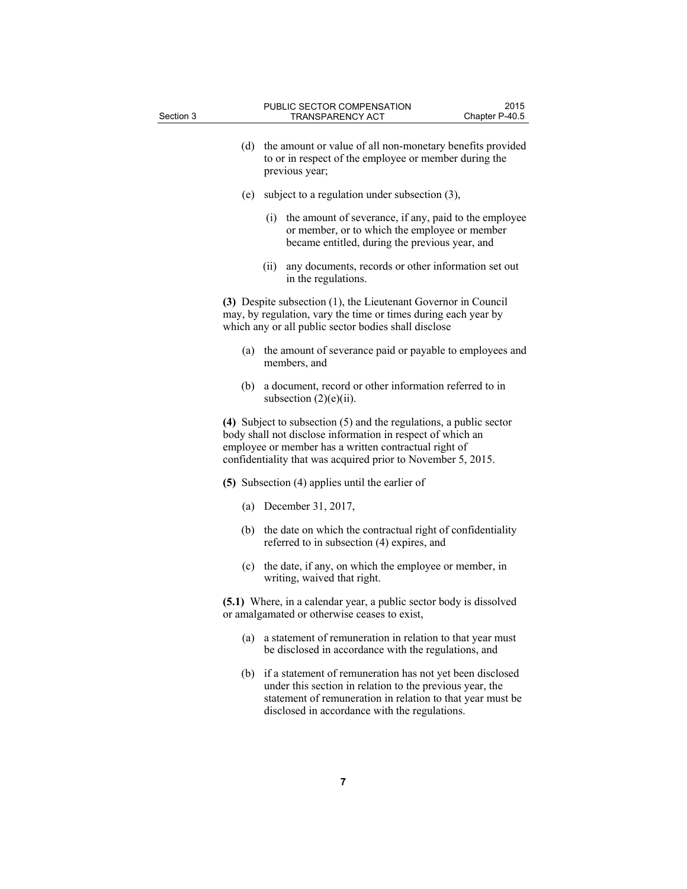- (d) the amount or value of all non-monetary benefits provided to or in respect of the employee or member during the previous year;
- (e) subject to a regulation under subsection (3),
	- (i) the amount of severance, if any, paid to the employee or member, or to which the employee or member became entitled, during the previous year, and
	- (ii) any documents, records or other information set out in the regulations.

**(3)** Despite subsection (1), the Lieutenant Governor in Council may, by regulation, vary the time or times during each year by which any or all public sector bodies shall disclose

- (a) the amount of severance paid or payable to employees and members, and
- (b) a document, record or other information referred to in subsection  $(2)(e)(ii)$ .

**(4)** Subject to subsection (5) and the regulations, a public sector body shall not disclose information in respect of which an employee or member has a written contractual right of confidentiality that was acquired prior to November 5, 2015.

- **(5)** Subsection (4) applies until the earlier of
	- (a) December 31, 2017,
	- (b) the date on which the contractual right of confidentiality referred to in subsection (4) expires, and
	- (c) the date, if any, on which the employee or member, in writing, waived that right.

**(5.1)** Where, in a calendar year, a public sector body is dissolved or amalgamated or otherwise ceases to exist,

- (a) a statement of remuneration in relation to that year must be disclosed in accordance with the regulations, and
- (b) if a statement of remuneration has not yet been disclosed under this section in relation to the previous year, the statement of remuneration in relation to that year must be disclosed in accordance with the regulations.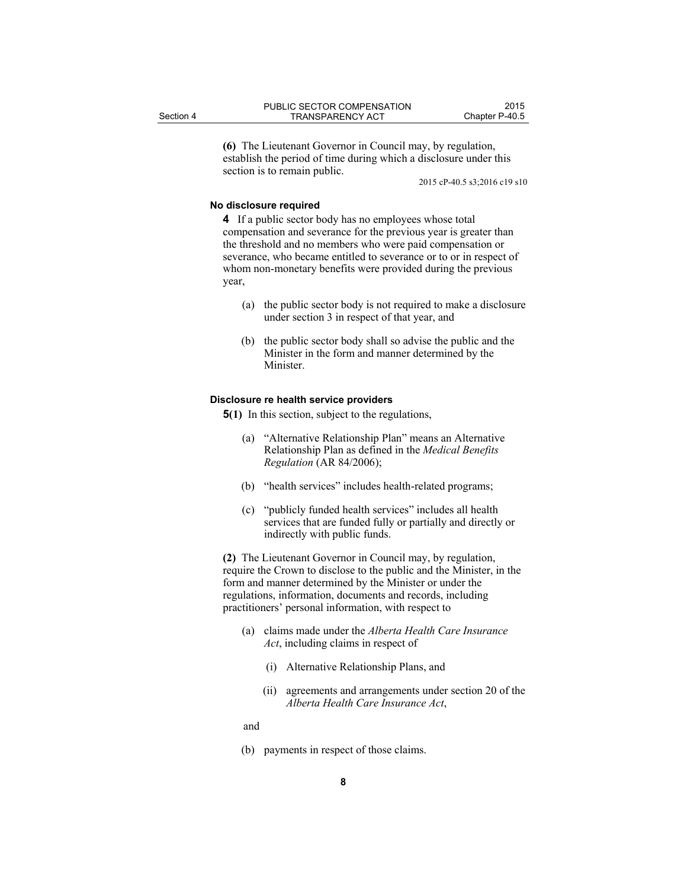**(6)** The Lieutenant Governor in Council may, by regulation, establish the period of time during which a disclosure under this section is to remain public.

2015 cP-40.5 s3;2016 c19 s10

#### **No disclosure required**

**4** If a public sector body has no employees whose total compensation and severance for the previous year is greater than the threshold and no members who were paid compensation or severance, who became entitled to severance or to or in respect of whom non-monetary benefits were provided during the previous year,

- (a) the public sector body is not required to make a disclosure under section 3 in respect of that year, and
- (b) the public sector body shall so advise the public and the Minister in the form and manner determined by the Minister.

#### **Disclosure re health service providers**

**5(1)** In this section, subject to the regulations,

- (a) "Alternative Relationship Plan" means an Alternative Relationship Plan as defined in the *Medical Benefits Regulation* (AR 84/2006);
- (b) "health services" includes health-related programs;
- (c) "publicly funded health services" includes all health services that are funded fully or partially and directly or indirectly with public funds.

**(2)** The Lieutenant Governor in Council may, by regulation, require the Crown to disclose to the public and the Minister, in the form and manner determined by the Minister or under the regulations, information, documents and records, including practitioners' personal information, with respect to

- (a) claims made under the *Alberta Health Care Insurance Act*, including claims in respect of
	- (i) Alternative Relationship Plans, and
	- (ii) agreements and arrangements under section 20 of the *Alberta Health Care Insurance Act*,
- and
- (b) payments in respect of those claims.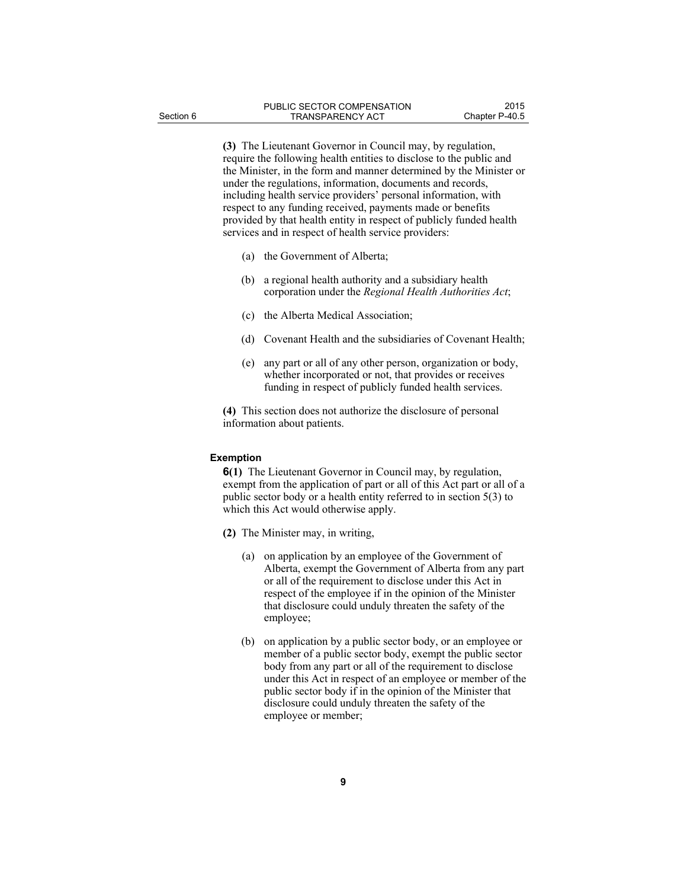**(3)** The Lieutenant Governor in Council may, by regulation, require the following health entities to disclose to the public and the Minister, in the form and manner determined by the Minister or under the regulations, information, documents and records, including health service providers' personal information, with respect to any funding received, payments made or benefits provided by that health entity in respect of publicly funded health services and in respect of health service providers:

- (a) the Government of Alberta;
- (b) a regional health authority and a subsidiary health corporation under the *Regional Health Authorities Act*;
- (c) the Alberta Medical Association;
- (d) Covenant Health and the subsidiaries of Covenant Health;
- (e) any part or all of any other person, organization or body, whether incorporated or not, that provides or receives funding in respect of publicly funded health services.

**(4)** This section does not authorize the disclosure of personal information about patients.

#### **Exemption**

**6(1)** The Lieutenant Governor in Council may, by regulation, exempt from the application of part or all of this Act part or all of a public sector body or a health entity referred to in section 5(3) to which this Act would otherwise apply.

- **(2)** The Minister may, in writing,
	- (a) on application by an employee of the Government of Alberta, exempt the Government of Alberta from any part or all of the requirement to disclose under this Act in respect of the employee if in the opinion of the Minister that disclosure could unduly threaten the safety of the employee;
	- (b) on application by a public sector body, or an employee or member of a public sector body, exempt the public sector body from any part or all of the requirement to disclose under this Act in respect of an employee or member of the public sector body if in the opinion of the Minister that disclosure could unduly threaten the safety of the employee or member;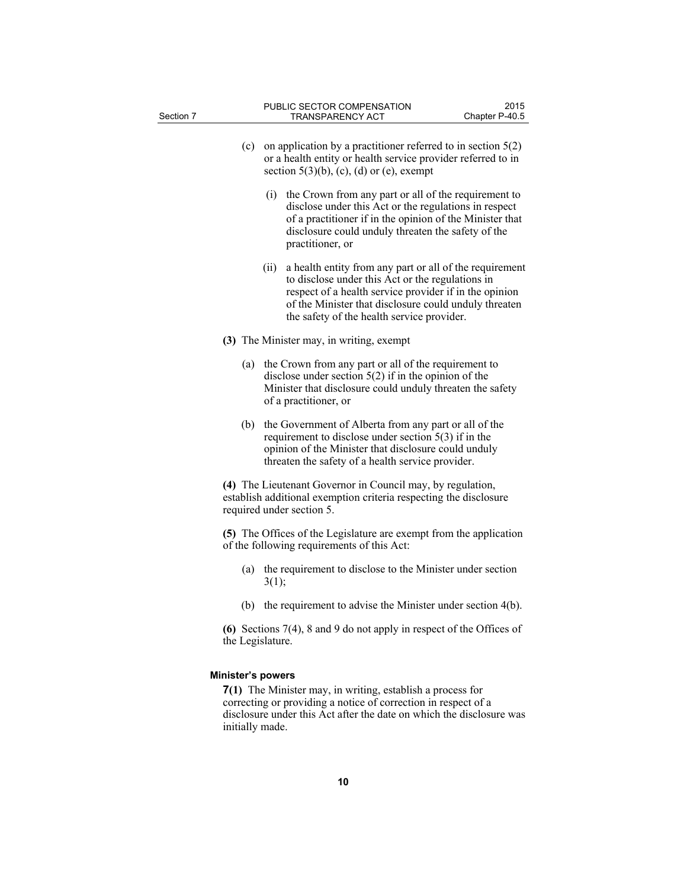| Section 7 |                                             | PUBLIC SECTOR COMPENSATION<br>TRANSPARENCY ACT                                                                                                                                                                                                                                      | 2015<br>Chapter P-40.5 |
|-----------|---------------------------------------------|-------------------------------------------------------------------------------------------------------------------------------------------------------------------------------------------------------------------------------------------------------------------------------------|------------------------|
|           | (c)                                         | on application by a practitioner referred to in section $5(2)$<br>or a health entity or health service provider referred to in<br>section $5(3)(b)$ , (c), (d) or (e), exempt                                                                                                       |                        |
|           |                                             | (i) the Crown from any part or all of the requirement to<br>disclose under this Act or the regulations in respect<br>of a practitioner if in the opinion of the Minister that<br>disclosure could unduly threaten the safety of the<br>practitioner, or                             |                        |
|           |                                             | a health entity from any part or all of the requirement<br>(i)<br>to disclose under this Act or the regulations in<br>respect of a health service provider if in the opinion<br>of the Minister that disclosure could unduly threaten<br>the safety of the health service provider. |                        |
|           |                                             | (3) The Minister may, in writing, exempt                                                                                                                                                                                                                                            |                        |
|           |                                             | (a) the Crown from any part or all of the requirement to<br>disclose under section $5(2)$ if in the opinion of the<br>Minister that disclosure could unduly threaten the safety<br>of a practitioner, or                                                                            |                        |
|           | (b)                                         | the Government of Alberta from any part or all of the<br>requirement to disclose under section $5(3)$ if in the<br>opinion of the Minister that disclosure could unduly<br>threaten the safety of a health service provider.                                                        |                        |
|           |                                             | (4) The Lieutenant Governor in Council may, by regulation,<br>establish additional exemption criteria respecting the disclosure<br>required under section 5.                                                                                                                        |                        |
|           |                                             | (5) The Offices of the Legislature are exempt from the application<br>of the following requirements of this Act:                                                                                                                                                                    |                        |
|           | (a)                                         | the requirement to disclose to the Minister under section<br>3(1);                                                                                                                                                                                                                  |                        |
|           |                                             | (b) the requirement to advise the Minister under section $4(b)$ .                                                                                                                                                                                                                   |                        |
|           | the Legislature.                            | (6) Sections $7(4)$ , 8 and 9 do not apply in respect of the Offices of                                                                                                                                                                                                             |                        |
|           | <b>Minister's powers</b><br>initially made. | <b>7(1)</b> The Minister may, in writing, establish a process for<br>correcting or providing a notice of correction in respect of a<br>disclosure under this Act after the date on which the disclosure was                                                                         |                        |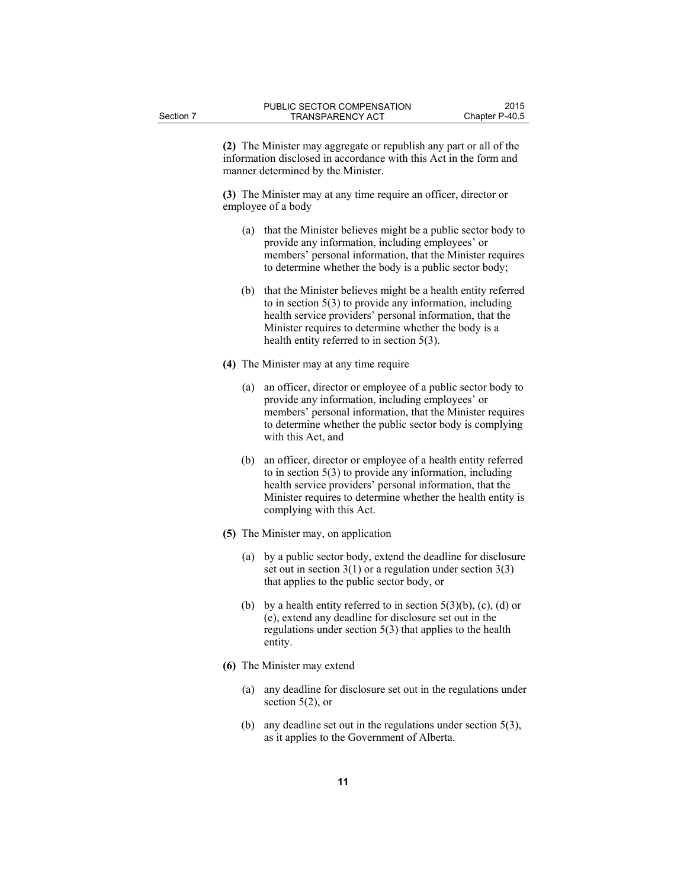**(2)** The Minister may aggregate or republish any part or all of the information disclosed in accordance with this Act in the form and manner determined by the Minister.

**(3)** The Minister may at any time require an officer, director or employee of a body

- (a) that the Minister believes might be a public sector body to provide any information, including employees' or members' personal information, that the Minister requires to determine whether the body is a public sector body;
- (b) that the Minister believes might be a health entity referred to in section 5(3) to provide any information, including health service providers' personal information, that the Minister requires to determine whether the body is a health entity referred to in section 5(3).
- **(4)** The Minister may at any time require
	- (a) an officer, director or employee of a public sector body to provide any information, including employees' or members' personal information, that the Minister requires to determine whether the public sector body is complying with this Act, and
	- (b) an officer, director or employee of a health entity referred to in section 5(3) to provide any information, including health service providers' personal information, that the Minister requires to determine whether the health entity is complying with this Act.
- **(5)** The Minister may, on application
	- (a) by a public sector body, extend the deadline for disclosure set out in section  $3(1)$  or a regulation under section  $3(3)$ that applies to the public sector body, or
	- (b) by a health entity referred to in section  $5(3)(b)$ , (c), (d) or (e), extend any deadline for disclosure set out in the regulations under section 5(3) that applies to the health entity.
- **(6)** The Minister may extend
	- (a) any deadline for disclosure set out in the regulations under section 5(2), or
	- (b) any deadline set out in the regulations under section 5(3), as it applies to the Government of Alberta.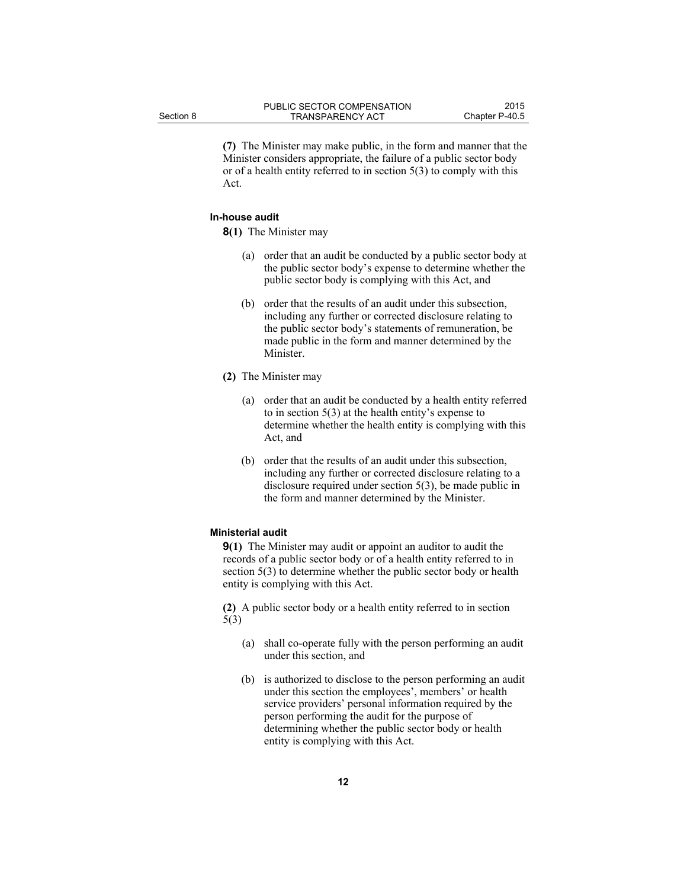**(7)** The Minister may make public, in the form and manner that the Minister considers appropriate, the failure of a public sector body or of a health entity referred to in section 5(3) to comply with this Act.

#### **In-house audit**

**8(1)** The Minister may

- (a) order that an audit be conducted by a public sector body at the public sector body's expense to determine whether the public sector body is complying with this Act, and
- (b) order that the results of an audit under this subsection, including any further or corrected disclosure relating to the public sector body's statements of remuneration, be made public in the form and manner determined by the Minister.
- **(2)** The Minister may
	- (a) order that an audit be conducted by a health entity referred to in section 5(3) at the health entity's expense to determine whether the health entity is complying with this Act, and
	- (b) order that the results of an audit under this subsection, including any further or corrected disclosure relating to a disclosure required under section 5(3), be made public in the form and manner determined by the Minister.

#### **Ministerial audit**

**9(1)** The Minister may audit or appoint an auditor to audit the records of a public sector body or of a health entity referred to in section 5(3) to determine whether the public sector body or health entity is complying with this Act.

**(2)** A public sector body or a health entity referred to in section 5(3)

- (a) shall co-operate fully with the person performing an audit under this section, and
- (b) is authorized to disclose to the person performing an audit under this section the employees', members' or health service providers' personal information required by the person performing the audit for the purpose of determining whether the public sector body or health entity is complying with this Act.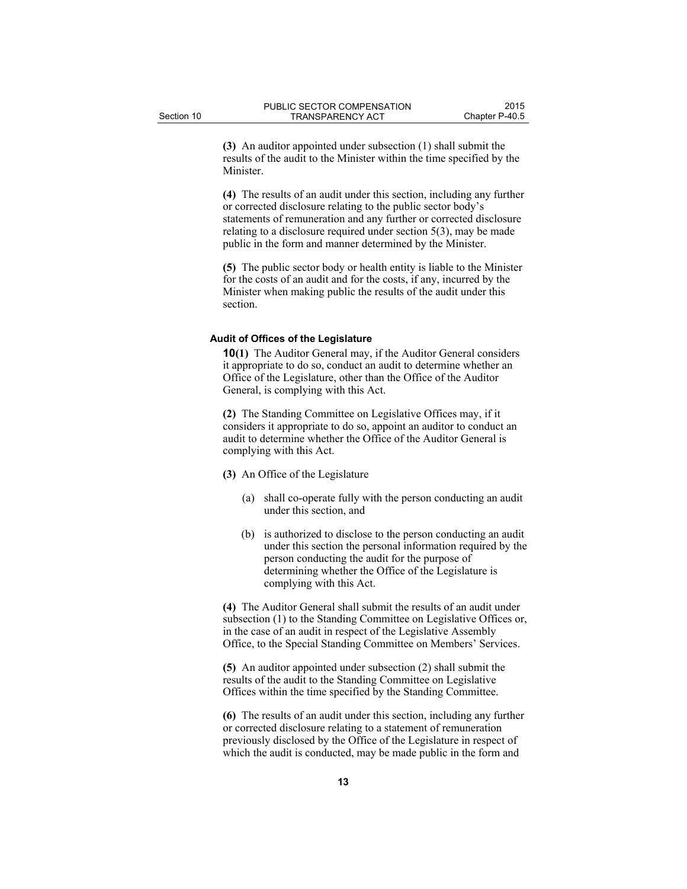**(3)** An auditor appointed under subsection (1) shall submit the results of the audit to the Minister within the time specified by the Minister.

**(4)** The results of an audit under this section, including any further or corrected disclosure relating to the public sector body's statements of remuneration and any further or corrected disclosure relating to a disclosure required under section 5(3), may be made public in the form and manner determined by the Minister.

**(5)** The public sector body or health entity is liable to the Minister for the costs of an audit and for the costs, if any, incurred by the Minister when making public the results of the audit under this section.

#### **Audit of Offices of the Legislature**

**10(1)** The Auditor General may, if the Auditor General considers it appropriate to do so, conduct an audit to determine whether an Office of the Legislature, other than the Office of the Auditor General, is complying with this Act.

**(2)** The Standing Committee on Legislative Offices may, if it considers it appropriate to do so, appoint an auditor to conduct an audit to determine whether the Office of the Auditor General is complying with this Act.

- **(3)** An Office of the Legislature
	- (a) shall co-operate fully with the person conducting an audit under this section, and
	- (b) is authorized to disclose to the person conducting an audit under this section the personal information required by the person conducting the audit for the purpose of determining whether the Office of the Legislature is complying with this Act.

**(4)** The Auditor General shall submit the results of an audit under subsection (1) to the Standing Committee on Legislative Offices or, in the case of an audit in respect of the Legislative Assembly Office, to the Special Standing Committee on Members' Services.

**(5)** An auditor appointed under subsection (2) shall submit the results of the audit to the Standing Committee on Legislative Offices within the time specified by the Standing Committee.

**(6)** The results of an audit under this section, including any further or corrected disclosure relating to a statement of remuneration previously disclosed by the Office of the Legislature in respect of which the audit is conducted, may be made public in the form and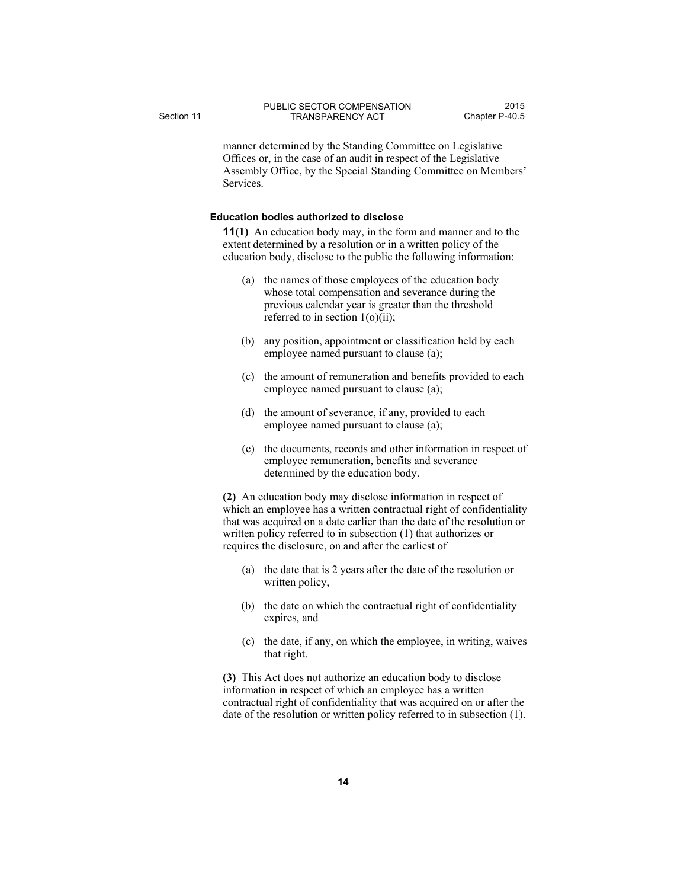manner determined by the Standing Committee on Legislative Offices or, in the case of an audit in respect of the Legislative Assembly Office, by the Special Standing Committee on Members' Services.

#### **Education bodies authorized to disclose**

**11(1)** An education body may, in the form and manner and to the extent determined by a resolution or in a written policy of the education body, disclose to the public the following information:

- (a) the names of those employees of the education body whose total compensation and severance during the previous calendar year is greater than the threshold referred to in section  $1(o)(ii)$ ;
- (b) any position, appointment or classification held by each employee named pursuant to clause (a);
- (c) the amount of remuneration and benefits provided to each employee named pursuant to clause (a);
- (d) the amount of severance, if any, provided to each employee named pursuant to clause (a);
- (e) the documents, records and other information in respect of employee remuneration, benefits and severance determined by the education body.

**(2)** An education body may disclose information in respect of which an employee has a written contractual right of confidentiality that was acquired on a date earlier than the date of the resolution or written policy referred to in subsection (1) that authorizes or requires the disclosure, on and after the earliest of

- (a) the date that is 2 years after the date of the resolution or written policy,
- (b) the date on which the contractual right of confidentiality expires, and
- (c) the date, if any, on which the employee, in writing, waives that right.

**(3)** This Act does not authorize an education body to disclose information in respect of which an employee has a written contractual right of confidentiality that was acquired on or after the date of the resolution or written policy referred to in subsection (1).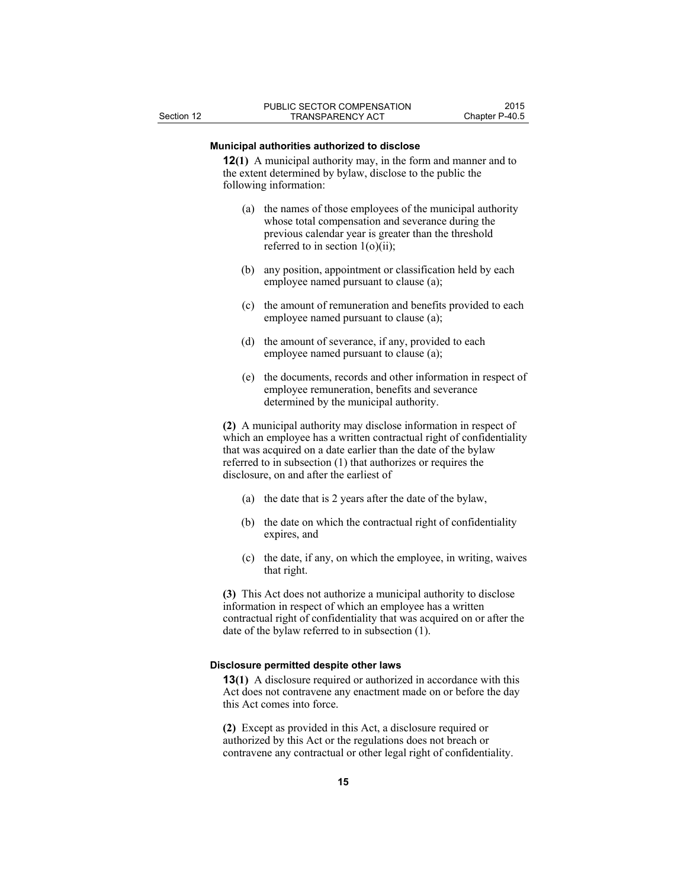#### **Municipal authorities authorized to disclose**

**12(1)** A municipal authority may, in the form and manner and to the extent determined by bylaw, disclose to the public the following information:

- (a) the names of those employees of the municipal authority whose total compensation and severance during the previous calendar year is greater than the threshold referred to in section 1(o)(ii);
- (b) any position, appointment or classification held by each employee named pursuant to clause (a);
- (c) the amount of remuneration and benefits provided to each employee named pursuant to clause (a);
- (d) the amount of severance, if any, provided to each employee named pursuant to clause (a);
- (e) the documents, records and other information in respect of employee remuneration, benefits and severance determined by the municipal authority.

**(2)** A municipal authority may disclose information in respect of which an employee has a written contractual right of confidentiality that was acquired on a date earlier than the date of the bylaw referred to in subsection (1) that authorizes or requires the disclosure, on and after the earliest of

- (a) the date that is 2 years after the date of the bylaw,
- (b) the date on which the contractual right of confidentiality expires, and
- (c) the date, if any, on which the employee, in writing, waives that right.

**(3)** This Act does not authorize a municipal authority to disclose information in respect of which an employee has a written contractual right of confidentiality that was acquired on or after the date of the bylaw referred to in subsection (1).

#### **Disclosure permitted despite other laws**

**13(1)** A disclosure required or authorized in accordance with this Act does not contravene any enactment made on or before the day this Act comes into force.

**(2)** Except as provided in this Act, a disclosure required or authorized by this Act or the regulations does not breach or contravene any contractual or other legal right of confidentiality.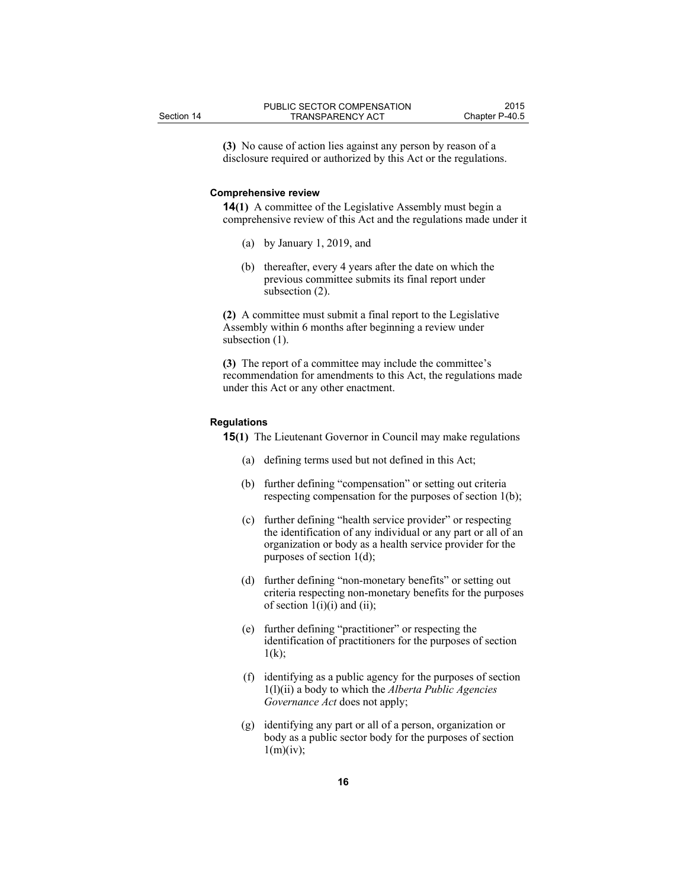**(3)** No cause of action lies against any person by reason of a disclosure required or authorized by this Act or the regulations.

#### **Comprehensive review**

**14(1)** A committee of the Legislative Assembly must begin a comprehensive review of this Act and the regulations made under it

- (a) by January 1, 2019, and
- (b) thereafter, every 4 years after the date on which the previous committee submits its final report under subsection (2).

**(2)** A committee must submit a final report to the Legislative Assembly within 6 months after beginning a review under subsection  $(1)$ .

**(3)** The report of a committee may include the committee's recommendation for amendments to this Act, the regulations made under this Act or any other enactment.

#### **Regulations**

**15(1)** The Lieutenant Governor in Council may make regulations

- (a) defining terms used but not defined in this Act;
- (b) further defining "compensation" or setting out criteria respecting compensation for the purposes of section 1(b);
- (c) further defining "health service provider" or respecting the identification of any individual or any part or all of an organization or body as a health service provider for the purposes of section 1(d);
- (d) further defining "non-monetary benefits" or setting out criteria respecting non-monetary benefits for the purposes of section  $1(i)(i)$  and (ii);
- (e) further defining "practitioner" or respecting the identification of practitioners for the purposes of section  $1(k);$
- (f) identifying as a public agency for the purposes of section 1(l)(ii) a body to which the *Alberta Public Agencies Governance Act* does not apply;
- (g) identifying any part or all of a person, organization or body as a public sector body for the purposes of section  $1(m)(iv)$ ;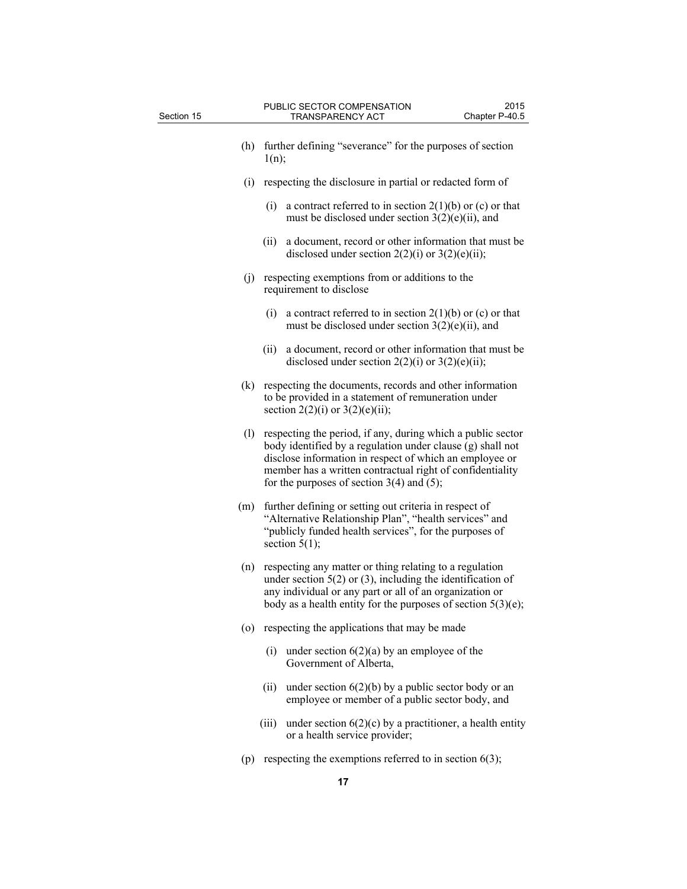| (h) | further defining "severance" for the purposes of section<br>1(n);                                                                                                                                                                                                                                   |
|-----|-----------------------------------------------------------------------------------------------------------------------------------------------------------------------------------------------------------------------------------------------------------------------------------------------------|
| (i) | respecting the disclosure in partial or redacted form of                                                                                                                                                                                                                                            |
|     | a contract referred to in section $2(1)(b)$ or (c) or that<br>(i)<br>must be disclosed under section $3(2)(e)(ii)$ , and                                                                                                                                                                            |
|     | a document, record or other information that must be<br>(ii)<br>disclosed under section $2(2)(i)$ or $3(2)(e)(ii)$ ;                                                                                                                                                                                |
| (j) | respecting exemptions from or additions to the<br>requirement to disclose                                                                                                                                                                                                                           |
|     | a contract referred to in section $2(1)(b)$ or (c) or that<br>(i)<br>must be disclosed under section $3(2)(e)(ii)$ , and                                                                                                                                                                            |
|     | a document, record or other information that must be<br>(ii)<br>disclosed under section $2(2)(i)$ or $3(2)(e)(ii)$ ;                                                                                                                                                                                |
| (k) | respecting the documents, records and other information<br>to be provided in a statement of remuneration under<br>section 2(2)(i) or 3(2)(e)(ii);                                                                                                                                                   |
| (1) | respecting the period, if any, during which a public sector<br>body identified by a regulation under clause (g) shall not<br>disclose information in respect of which an employee or<br>member has a written contractual right of confidentiality<br>for the purposes of section $3(4)$ and $(5)$ ; |
| (m) | further defining or setting out criteria in respect of<br>"Alternative Relationship Plan", "health services" and<br>"publicly funded health services", for the purposes of<br>section $5(1)$ ;                                                                                                      |
| (n) | respecting any matter or thing relating to a regulation<br>under section $5(2)$ or (3), including the identification of<br>any individual or any part or all of an organization or<br>body as a health entity for the purposes of section $5(3)(e)$ ;                                               |
|     | (o) respecting the applications that may be made                                                                                                                                                                                                                                                    |
|     | (i)<br>under section $6(2)(a)$ by an employee of the<br>Government of Alberta,                                                                                                                                                                                                                      |
|     | under section $6(2)(b)$ by a public sector body or an<br>(ii)<br>employee or member of a public sector body, and                                                                                                                                                                                    |
|     | under section $6(2)(c)$ by a practitioner, a health entity<br>(iii)<br>or a health service provider;                                                                                                                                                                                                |
| (p) | respecting the exemptions referred to in section $6(3)$ ;                                                                                                                                                                                                                                           |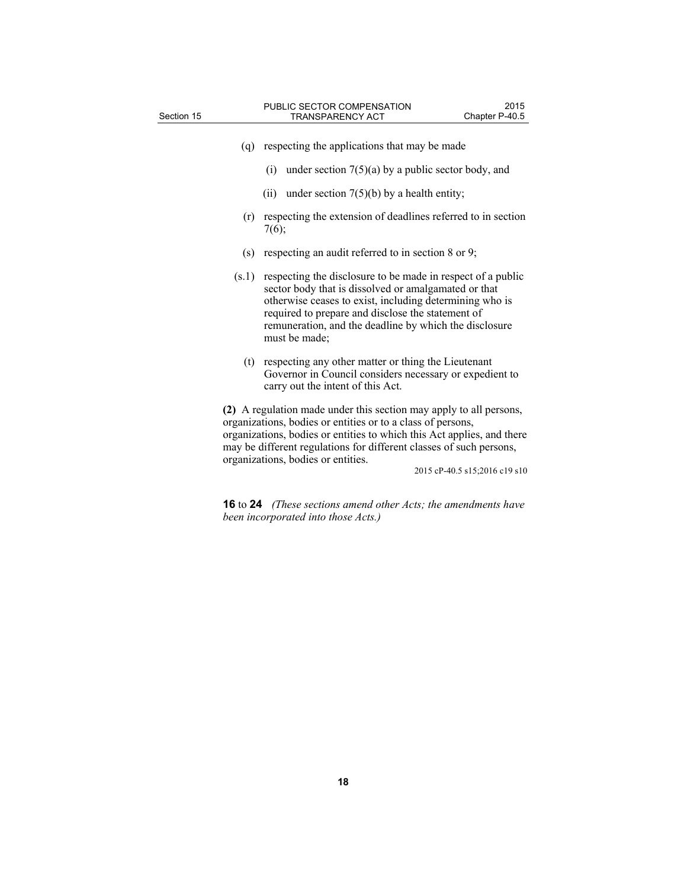| (q) respecting the applications that may be made                                                                                                                                                                                                                                                                                                          |
|-----------------------------------------------------------------------------------------------------------------------------------------------------------------------------------------------------------------------------------------------------------------------------------------------------------------------------------------------------------|
| (i) under section $7(5)(a)$ by a public sector body, and                                                                                                                                                                                                                                                                                                  |
| (ii) under section $7(5)(b)$ by a health entity;                                                                                                                                                                                                                                                                                                          |
| (r) respecting the extension of deadlines referred to in section<br>7(6);                                                                                                                                                                                                                                                                                 |
| (s) respecting an audit referred to in section $8$ or $9$ ;                                                                                                                                                                                                                                                                                               |
| (s.1) respecting the disclosure to be made in respect of a public<br>sector body that is dissolved or amalgamated or that<br>otherwise ceases to exist, including determining who is<br>required to prepare and disclose the statement of<br>remuneration, and the deadline by which the disclosure<br>must be made;                                      |
| (t) respecting any other matter or thing the Lieutenant<br>Governor in Council considers necessary or expedient to<br>carry out the intent of this Act.                                                                                                                                                                                                   |
| (2) A regulation made under this section may apply to all persons,<br>organizations, bodies or entities or to a class of persons,<br>organizations, bodies or entities to which this Act applies, and there<br>may be different regulations for different classes of such persons,<br>organizations, bodies or entities.<br>2015 cP-40.5 s15;2016 c19 s10 |

**16** to **24** *(These sections amend other Acts; the amendments have been incorporated into those Acts.)*